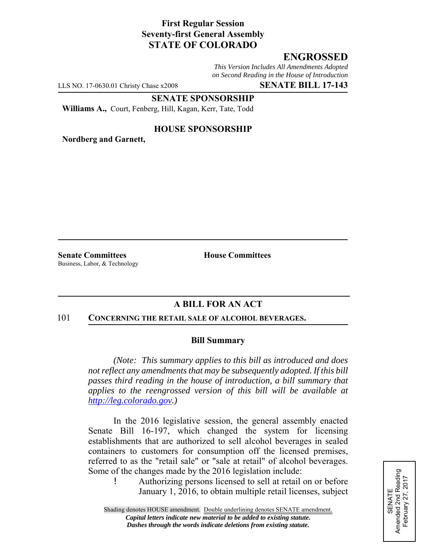# **First Regular Session Seventy-first General Assembly STATE OF COLORADO**

# **ENGROSSED**

*This Version Includes All Amendments Adopted on Second Reading in the House of Introduction*

LLS NO. 17-0630.01 Christy Chase x2008 **SENATE BILL 17-143**

### **SENATE SPONSORSHIP**

**Williams A.,** Court, Fenberg, Hill, Kagan, Kerr, Tate, Todd

## **HOUSE SPONSORSHIP**

**Nordberg and Garnett,**

**Senate Committees House Committees** Business, Labor, & Technology

# **A BILL FOR AN ACT**

#### 101 **CONCERNING THE RETAIL SALE OF ALCOHOL BEVERAGES.**

#### **Bill Summary**

*(Note: This summary applies to this bill as introduced and does not reflect any amendments that may be subsequently adopted. If this bill passes third reading in the house of introduction, a bill summary that applies to the reengrossed version of this bill will be available at http://leg.colorado.gov.)*

In the 2016 legislative session, the general assembly enacted Senate Bill 16-197, which changed the system for licensing establishments that are authorized to sell alcohol beverages in sealed containers to customers for consumption off the licensed premises, referred to as the "retail sale" or "sale at retail" of alcohol beverages. Some of the changes made by the 2016 legislation include:

! Authorizing persons licensed to sell at retail on or before January 1, 2016, to obtain multiple retail licenses, subject SENATE<br>Amended 2nd Reading<br>February 27, 2017 Amended 2nd Reading February 27, 2017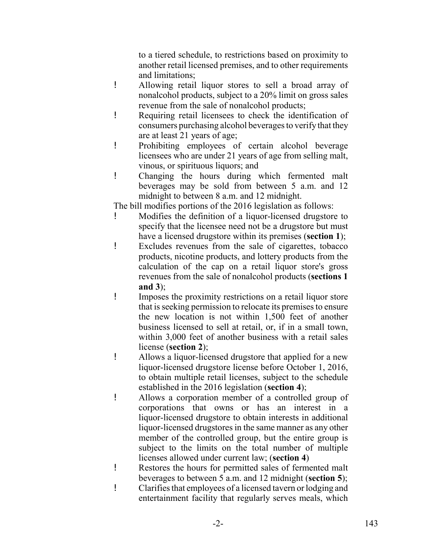to a tiered schedule, to restrictions based on proximity to another retail licensed premises, and to other requirements and limitations;

- ! Allowing retail liquor stores to sell a broad array of nonalcohol products, subject to a 20% limit on gross sales revenue from the sale of nonalcohol products;
- ! Requiring retail licensees to check the identification of consumers purchasing alcohol beverages to verify that they are at least 21 years of age;
- ! Prohibiting employees of certain alcohol beverage licensees who are under 21 years of age from selling malt, vinous, or spirituous liquors; and
- ! Changing the hours during which fermented malt beverages may be sold from between 5 a.m. and 12 midnight to between 8 a.m. and 12 midnight.

The bill modifies portions of the 2016 legislation as follows:

- ! Modifies the definition of a liquor-licensed drugstore to specify that the licensee need not be a drugstore but must have a licensed drugstore within its premises (**section 1**);
- ! Excludes revenues from the sale of cigarettes, tobacco products, nicotine products, and lottery products from the calculation of the cap on a retail liquor store's gross revenues from the sale of nonalcohol products (**sections 1 and 3**);
- ! Imposes the proximity restrictions on a retail liquor store that is seeking permission to relocate its premises to ensure the new location is not within 1,500 feet of another business licensed to sell at retail, or, if in a small town, within 3,000 feet of another business with a retail sales license (**section 2**);
- ! Allows a liquor-licensed drugstore that applied for a new liquor-licensed drugstore license before October 1, 2016, to obtain multiple retail licenses, subject to the schedule established in the 2016 legislation (**section 4**);
- ! Allows a corporation member of a controlled group of corporations that owns or has an interest in a liquor-licensed drugstore to obtain interests in additional liquor-licensed drugstores in the same manner as any other member of the controlled group, but the entire group is subject to the limits on the total number of multiple licenses allowed under current law; (**section 4**)
- ! Restores the hours for permitted sales of fermented malt beverages to between 5 a.m. and 12 midnight (**section 5**);
- ! Clarifies that employees of a licensed tavern or lodging and entertainment facility that regularly serves meals, which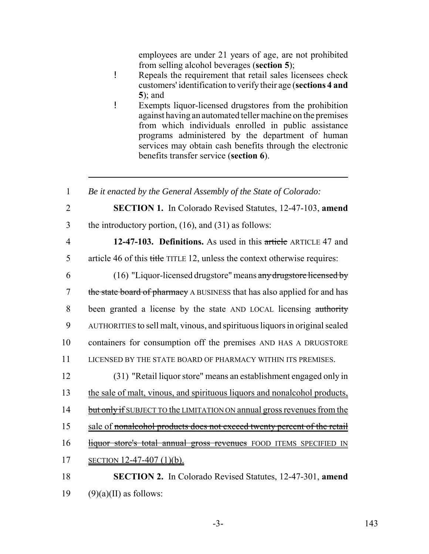employees are under 21 years of age, are not prohibited from selling alcohol beverages (**section 5**);

- ! Repeals the requirement that retail sales licensees check customers' identification to verify their age (**sections 4 and 5**); and
- ! Exempts liquor-licensed drugstores from the prohibition against having an automated teller machine on the premises from which individuals enrolled in public assistance programs administered by the department of human services may obtain cash benefits through the electronic benefits transfer service (**section 6**).

 *Be it enacted by the General Assembly of the State of Colorado:* **SECTION 1.** In Colorado Revised Statutes, 12-47-103, **amend** the introductory portion, (16), and (31) as follows: **12-47-103. Definitions.** As used in this article ARTICLE 47 and article 46 of this title TITLE 12, unless the context otherwise requires: (16) "Liquor-licensed drugstore" means any drugstore licensed by 7 the state board of pharmacy A BUSINESS that has also applied for and has been granted a license by the state AND LOCAL licensing authority AUTHORITIES to sell malt, vinous, and spirituous liquors in original sealed containers for consumption off the premises AND HAS A DRUGSTORE LICENSED BY THE STATE BOARD OF PHARMACY WITHIN ITS PREMISES. (31) "Retail liquor store" means an establishment engaged only in the sale of malt, vinous, and spirituous liquors and nonalcohol products, 14 but only if SUBJECT TO the LIMITATION ON annual gross revenues from the 15 sale of nonalcohol products does not exceed twenty percent of the retail 16 liquor store's total annual gross revenues FOOD ITEMS SPECIFIED IN SECTION 12-47-407 (1)(b). **SECTION 2.** In Colorado Revised Statutes, 12-47-301, **amend**  $(9)(a)(II)$  as follows: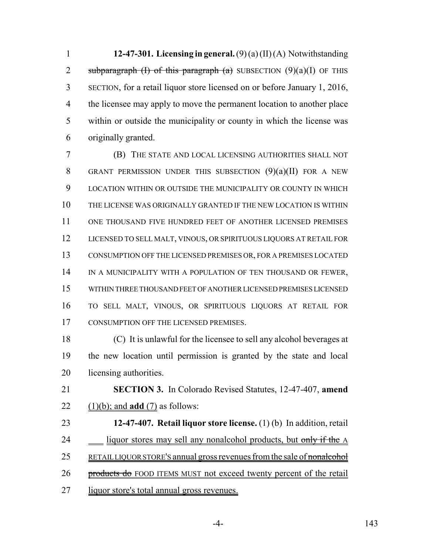**12-47-301. Licensing in general.** (9) (a) (II) (A) Notwithstanding 2 subparagraph (I) of this paragraph (a) SUBSECTION  $(9)(a)(I)$  OF THIS SECTION, for a retail liquor store licensed on or before January 1, 2016, 4 the licensee may apply to move the permanent location to another place within or outside the municipality or county in which the license was originally granted.

 (B) THE STATE AND LOCAL LICENSING AUTHORITIES SHALL NOT GRANT PERMISSION UNDER THIS SUBSECTION (9)(a)(II) FOR A NEW LOCATION WITHIN OR OUTSIDE THE MUNICIPALITY OR COUNTY IN WHICH THE LICENSE WAS ORIGINALLY GRANTED IF THE NEW LOCATION IS WITHIN ONE THOUSAND FIVE HUNDRED FEET OF ANOTHER LICENSED PREMISES LICENSED TO SELL MALT, VINOUS, OR SPIRITUOUS LIQUORS AT RETAIL FOR CONSUMPTION OFF THE LICENSED PREMISES OR, FOR A PREMISES LOCATED 14 IN A MUNICIPALITY WITH A POPULATION OF TEN THOUSAND OR FEWER, WITHIN THREE THOUSAND FEET OF ANOTHER LICENSED PREMISES LICENSED TO SELL MALT, VINOUS, OR SPIRITUOUS LIQUORS AT RETAIL FOR CONSUMPTION OFF THE LICENSED PREMISES.

 (C) It is unlawful for the licensee to sell any alcohol beverages at the new location until permission is granted by the state and local licensing authorities.

 **SECTION 3.** In Colorado Revised Statutes, 12-47-407, **amend** (1)(b); and **add** (7) as follows:

 **12-47-407. Retail liquor store license.** (1) (b) In addition, retail 24 liquor stores may sell any nonalcohol products, but only if the A 25 RETAIL LIQUOR STORE'S annual gross revenues from the sale of nonalcohol 26 products do FOOD ITEMS MUST not exceed twenty percent of the retail liquor store's total annual gross revenues.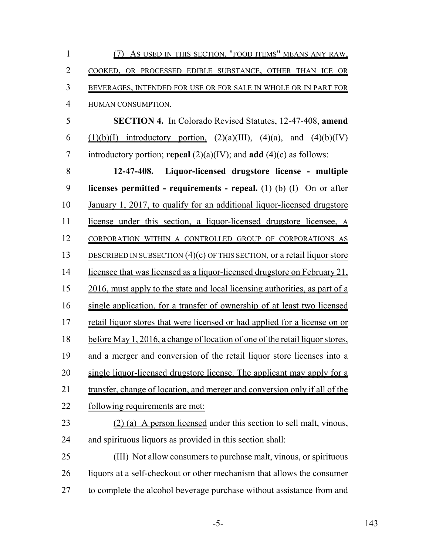| $\mathbf{1}$   | (7) As USED IN THIS SECTION, "FOOD ITEMS" MEANS ANY RAW,                       |
|----------------|--------------------------------------------------------------------------------|
| $\overline{2}$ | COOKED, OR PROCESSED EDIBLE SUBSTANCE, OTHER THAN ICE OR                       |
| 3              | BEVERAGES, INTENDED FOR USE OR FOR SALE IN WHOLE OR IN PART FOR                |
| $\overline{4}$ | HUMAN CONSUMPTION.                                                             |
| 5              | <b>SECTION 4.</b> In Colorado Revised Statutes, 12-47-408, amend               |
| 6              | $(1)(b)(I)$ introductory portion, $(2)(a)(III)$ , $(4)(a)$ , and $(4)(b)(IV)$  |
| 7              | introductory portion; repeal $(2)(a)(IV)$ ; and add $(4)(c)$ as follows:       |
| 8              | 12-47-408. Liquor-licensed drugstore license - multiple                        |
| 9              | licenses permitted - requirements - repeal. $(1)$ $(b)$ $(1)$ $On$ or after    |
| 10             | <u>January 1, 2017, to qualify for an additional liquor-licensed drugstore</u> |
| 11             | license under this section, a liquor-licensed drugstore licensee, A            |
| 12             | CORPORATION WITHIN A CONTROLLED GROUP OF CORPORATIONS AS                       |
| 13             | DESCRIBED IN SUBSECTION $(4)(c)$ OF THIS SECTION, or a retail liquor store     |
| 14             | licensee that was licensed as a liquor-licensed drugstore on February 21,      |
| 15             | 2016, must apply to the state and local licensing authorities, as part of a    |
| 16             | single application, for a transfer of ownership of at least two licensed       |
| 17             | retail liquor stores that were licensed or had applied for a license on or     |
| 18             | before May 1, 2016, a change of location of one of the retail liquor stores,   |
| 19             | and a merger and conversion of the retail liquor store licenses into a         |
| 20             | single liquor-licensed drugstore license. The applicant may apply for a        |
| 21             | transfer, change of location, and merger and conversion only if all of the     |
| 22             | <u>following requirements are met:</u>                                         |
| 23             | (2) (a) A person licensed under this section to sell malt, vinous,             |
| 24             | and spirituous liquors as provided in this section shall:                      |
| 25             | (III) Not allow consumers to purchase malt, vinous, or spirituous              |
| 26             | liquors at a self-checkout or other mechanism that allows the consumer         |
| 27             | to complete the alcohol beverage purchase without assistance from and          |
|                |                                                                                |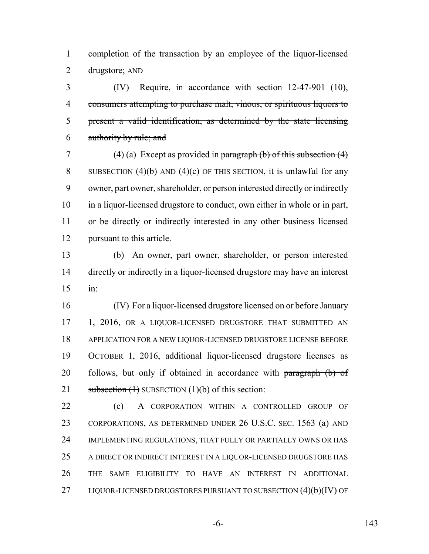completion of the transaction by an employee of the liquor-licensed drugstore; AND

 (IV) Require, in accordance with section 12-47-901 (10), consumers attempting to purchase malt, vinous, or spirituous liquors to present a valid identification, as determined by the state licensing authority by rule; and

7 (4) (a) Except as provided in paragraph (b) of this subsection  $(4)$ 8 SUBSECTION (4)(b) AND (4)(c) OF THIS SECTION, it is unlawful for any owner, part owner, shareholder, or person interested directly or indirectly in a liquor-licensed drugstore to conduct, own either in whole or in part, or be directly or indirectly interested in any other business licensed pursuant to this article.

 (b) An owner, part owner, shareholder, or person interested directly or indirectly in a liquor-licensed drugstore may have an interest in:

 (IV) For a liquor-licensed drugstore licensed on or before January 17 1, 2016, OR A LIQUOR-LICENSED DRUGSTORE THAT SUBMITTED AN APPLICATION FOR A NEW LIQUOR-LICENSED DRUGSTORE LICENSE BEFORE OCTOBER 1, 2016, additional liquor-licensed drugstore licenses as 20 follows, but only if obtained in accordance with  $\frac{1}{2}$  paragraph (b) of 21 subsection  $(1)$  SUBSECTION  $(1)(b)$  of this section:

 (c) A CORPORATION WITHIN A CONTROLLED GROUP OF CORPORATIONS, AS DETERMINED UNDER 26 U.S.C. SEC. 1563 (a) AND IMPLEMENTING REGULATIONS, THAT FULLY OR PARTIALLY OWNS OR HAS A DIRECT OR INDIRECT INTEREST IN A LIQUOR-LICENSED DRUGSTORE HAS THE SAME ELIGIBILITY TO HAVE AN INTEREST IN ADDITIONAL 27 LIQUOR-LICENSED DRUGSTORES PURSUANT TO SUBSECTION (4)(b)(IV) OF

-6- 143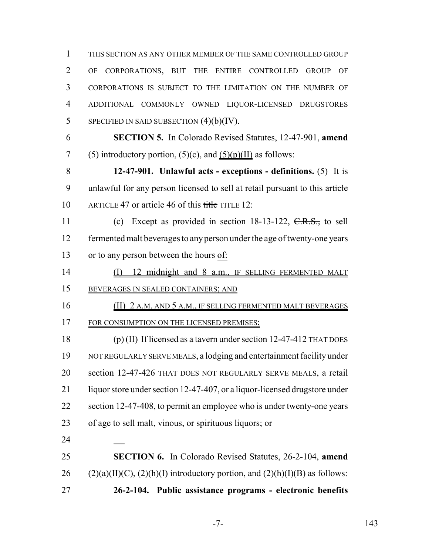THIS SECTION AS ANY OTHER MEMBER OF THE SAME CONTROLLED GROUP OF CORPORATIONS, BUT THE ENTIRE CONTROLLED GROUP OF CORPORATIONS IS SUBJECT TO THE LIMITATION ON THE NUMBER OF ADDITIONAL COMMONLY OWNED LIQUOR-LICENSED DRUGSTORES SPECIFIED IN SAID SUBSECTION  $(4)(b)(IV)$ .

 **SECTION 5.** In Colorado Revised Statutes, 12-47-901, **amend** 7 (5) introductory portion,  $(5)(c)$ , and  $(5)(p)(II)$  as follows:

 **12-47-901. Unlawful acts - exceptions - definitions.** (5) It is 9 unlawful for any person licensed to sell at retail pursuant to this article 10 ARTICLE 47 or article 46 of this title TITLE 12:

11 (c) Except as provided in section 18-13-122, C.R.S., to sell fermented malt beverages to any person under the age of twenty-one years 13 or to any person between the hours of:

14 (I) 12 midnight and 8 a.m., IF SELLING FERMENTED MALT BEVERAGES IN SEALED CONTAINERS; AND

 (II) 2 A.M. AND 5 A.M., IF SELLING FERMENTED MALT BEVERAGES 17 FOR CONSUMPTION ON THE LICENSED PREMISES;

 (p) (II) If licensed as a tavern under section 12-47-412 THAT DOES NOT REGULARLY SERVE MEALS, a lodging and entertainment facility under section 12-47-426 THAT DOES NOT REGULARLY SERVE MEALS, a retail 21 liquor store under section 12-47-407, or a liquor-licensed drugstore under section 12-47-408, to permit an employee who is under twenty-one years of age to sell malt, vinous, or spirituous liquors; or

 **SECTION 6.** In Colorado Revised Statutes, 26-2-104, **amend** 26 (2)(a)(II)(C), (2)(h)(I) introductory portion, and  $(2)(h)(I)(B)$  as follows: **26-2-104. Public assistance programs - electronic benefits**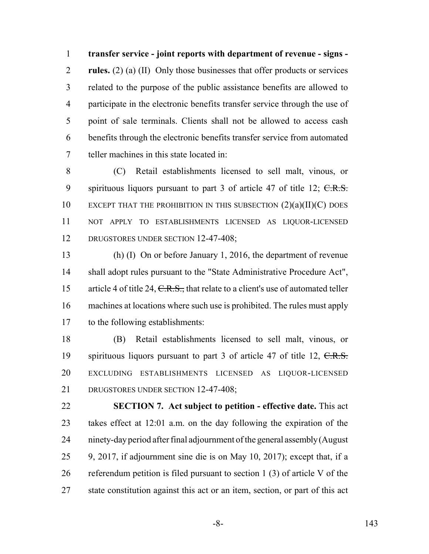**transfer service - joint reports with department of revenue - signs - rules.** (2) (a) (II) Only those businesses that offer products or services related to the purpose of the public assistance benefits are allowed to participate in the electronic benefits transfer service through the use of point of sale terminals. Clients shall not be allowed to access cash benefits through the electronic benefits transfer service from automated teller machines in this state located in:

 (C) Retail establishments licensed to sell malt, vinous, or 9 spirituous liquors pursuant to part of article  $47$  of title  $12$ ;  $C.R.S.$ 10 EXCEPT THAT THE PROHIBITION IN THIS SUBSECTION  $(2)(a)(II)(C)$  DOES NOT APPLY TO ESTABLISHMENTS LICENSED AS LIQUOR-LICENSED 12 DRUGSTORES UNDER SECTION 12-47-408;

 (h) (I) On or before January 1, 2016, the department of revenue shall adopt rules pursuant to the "State Administrative Procedure Act", 15 article 4 of title 24, C.R.S., that relate to a client's use of automated teller machines at locations where such use is prohibited. The rules must apply to the following establishments:

 (B) Retail establishments licensed to sell malt, vinous, or 19 spirituous liquors pursuant to part 3 of article 47 of title 12, C.R.S. EXCLUDING ESTABLISHMENTS LICENSED AS LIQUOR-LICENSED DRUGSTORES UNDER SECTION 12-47-408;

 **SECTION 7. Act subject to petition - effective date.** This act takes effect at 12:01 a.m. on the day following the expiration of the ninety-day period after final adjournment of the general assembly (August 9, 2017, if adjournment sine die is on May 10, 2017); except that, if a referendum petition is filed pursuant to section 1 (3) of article V of the state constitution against this act or an item, section, or part of this act